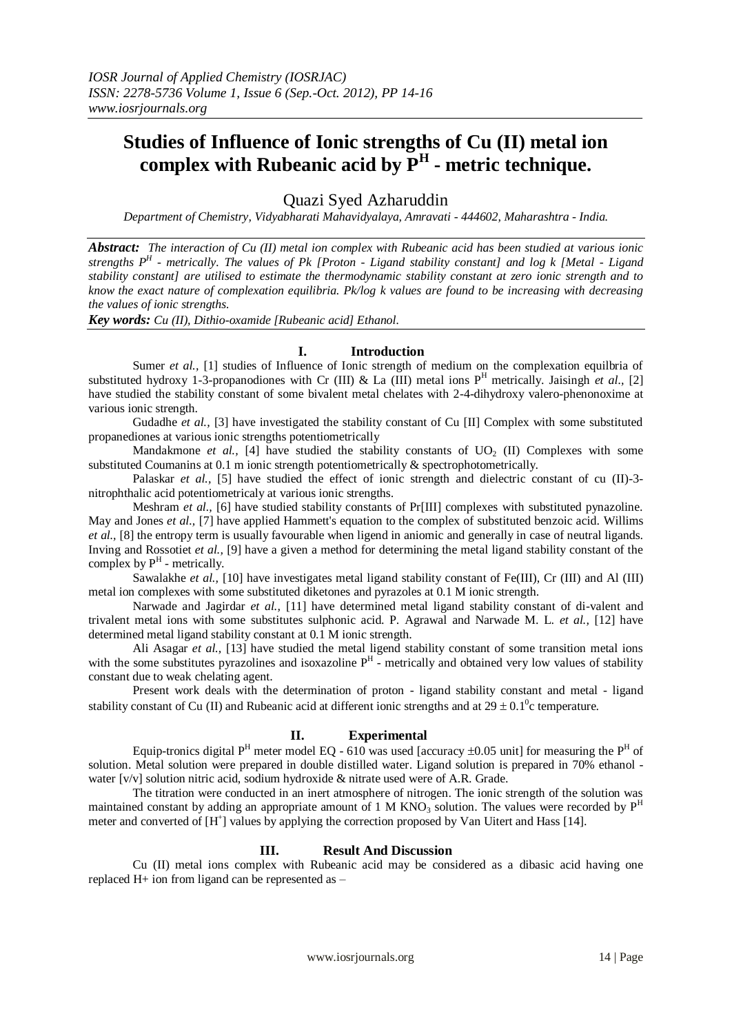# **Studies of Influence of Ionic strengths of Cu (II) metal ion complex with Rubeanic acid by P<sup>H</sup> - metric technique.**

Quazi Syed Azharuddin

*Department of Chemistry, Vidyabharati Mahavidyalaya, Amravati - 444602, Maharashtra - India.*

*Abstract: The interaction of Cu (II) metal ion complex with Rubeanic acid has been studied at various ionic strengths P<sup>H</sup> - metrically. The values of Pk [Proton - Ligand stability constant] and log k [Metal - Ligand stability constant] are utilised to estimate the thermodynamic stability constant at zero ionic strength and to know the exact nature of complexation equilibria. Pk/log k values are found to be increasing with decreasing the values of ionic strengths.*

*Key words: Cu (II), Dithio-oxamide [Rubeanic acid] Ethanol.*

### **I. Introduction**

Sumer *et al.*, [1] studies of Influence of Ionic strength of medium on the complexation equilbria of substituted hydroxy 1-3-propanodiones with Cr (III) & La (III) metal ions P<sup>H</sup> metrically. Jaisingh *et al.*, [2] have studied the stability constant of some bivalent metal chelates with 2-4-dihydroxy valero-phenonoxime at various ionic strength.

Gudadhe *et al.,* [3] have investigated the stability constant of Cu [II] Complex with some substituted propanediones at various ionic strengths potentiometrically

Mandakmone *et al.*, [4] have studied the stability constants of  $UO<sub>2</sub>$  (II) Complexes with some substituted Coumanins at 0.1 m ionic strength potentiometrically & spectrophotometrically.

Palaskar *et al.*, [5] have studied the effect of ionic strength and dielectric constant of cu (II)-3nitrophthalic acid potentiometricaly at various ionic strengths.

Meshram *et al.*, [6] have studied stability constants of Pr[III] complexes with substituted pynazoline. May and Jones *et al.,* [7] have applied Hammett's equation to the complex of substituted benzoic acid. Willims *et al.,* [8] the entropy term is usually favourable when ligend in aniomic and generally in case of neutral ligands. Inving and Rossotiet *et al.,* [9] have a given a method for determining the metal ligand stability constant of the complex by  $P<sup>H</sup>$  - metrically.

Sawalakhe *et al.*, [10] have investigates metal ligand stability constant of Fe(III), Cr (III) and Al (III) metal ion complexes with some substituted diketones and pyrazoles at 0.1 M ionic strength.

Narwade and Jagirdar *et al.,* [11] have determined metal ligand stability constant of di-valent and trivalent metal ions with some substitutes sulphonic acid. P. Agrawal and Narwade M. L. *et al.,* [12] have determined metal ligand stability constant at 0.1 M ionic strength.

Ali Asagar *et al.,* [13] have studied the metal ligend stability constant of some transition metal ions with the some substitutes pyrazolines and isoxazoline  $P<sup>H</sup>$  - metrically and obtained very low values of stability constant due to weak chelating agent.

Present work deals with the determination of proton - ligand stability constant and metal - ligand stability constant of Cu (II) and Rubeanic acid at different ionic strengths and at  $29 \pm 0.1^{\circ}$ c temperature.

## **II. Experimental**

Equip-tronics digital  $P^H$  meter model EQ - 610 was used [accuracy  $\pm 0.05$  unit] for measuring the  $P^H$  of solution. Metal solution were prepared in double distilled water. Ligand solution is prepared in 70% ethanol water  $[v/v]$  solution nitric acid, sodium hydroxide & nitrate used were of A.R. Grade.

The titration were conducted in an inert atmosphere of nitrogen. The ionic strength of the solution was maintained constant by adding an appropriate amount of 1 M KNO<sub>3</sub> solution. The values were recorded by  $P<sup>H</sup>$ meter and converted of [H<sup>+</sup>] values by applying the correction proposed by Van Uitert and Hass [14].

### **III. Result And Discussion**

Cu (II) metal ions complex with Rubeanic acid may be considered as a dibasic acid having one replaced H+ ion from ligand can be represented as –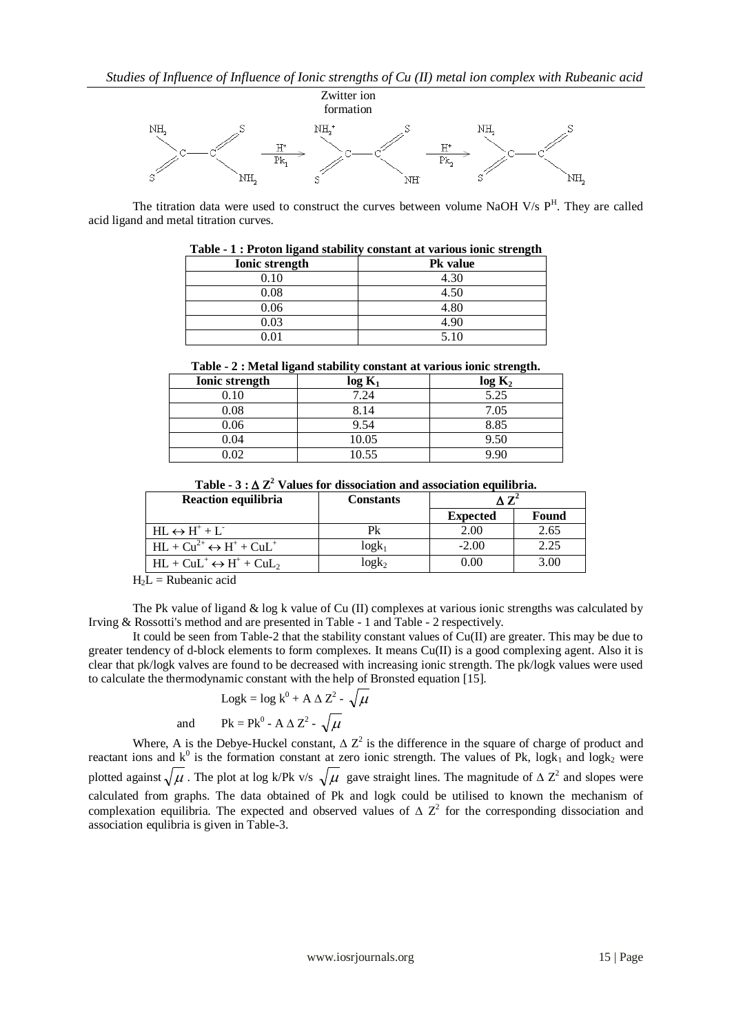

The titration data were used to construct the curves between volume NaOH V/s  $P<sup>H</sup>$ . They are called acid ligand and metal titration curves.

|                       | Table - I . I Foton ngang stability constant at various folic su engul |
|-----------------------|------------------------------------------------------------------------|
| <b>Ionic strength</b> | <b>Pk</b> value                                                        |
| 0.10                  | 4.30                                                                   |
| 0.08                  | 4.50                                                                   |
| 0.06                  | 4.80                                                                   |
| 0.03                  | 4.90                                                                   |
| ۱01                   | 5.10                                                                   |

|  |  | Table - 1 : Proton ligand stability constant at various ionic strength |  |  |
|--|--|------------------------------------------------------------------------|--|--|
|  |  |                                                                        |  |  |

**Table - 2 : Metal ligand stability constant at various ionic strength.**

| Component at various rome servingent |           |                    |  |  |
|--------------------------------------|-----------|--------------------|--|--|
| Ionic strength                       | $log K_1$ | log K <sub>2</sub> |  |  |
| 0.10                                 | 7.24      | 5.25               |  |  |
| 0.08                                 | 8.14      | 7.05               |  |  |
| 0.06                                 | 9.54      | 8.85               |  |  |
| 0.04                                 | 10.05     | 9.50               |  |  |
| 0.02                                 | 10.55     | a an               |  |  |

| Table - $3 : \Delta Z^2$ Values for dissociation and association equilibria. |  |  |  |
|------------------------------------------------------------------------------|--|--|--|
|                                                                              |  |  |  |

| Reaction equilibria                          | <b>Constants</b> | $\Lambda$ $\mathbf{Z}^2$ |       |
|----------------------------------------------|------------------|--------------------------|-------|
|                                              |                  | <b>Expected</b>          | Found |
| $HL \leftrightarrow H^+ + L^-$               | Pk               | 2.00                     | 2.65  |
| $HL + Cu^{2+} \leftrightarrow H^+ + CuL^+$   | $log k_1$        | $-2.00$                  | 2.25  |
| $HL + C u L^+ \leftrightarrow H^+ + C u L_2$ | $log k_2$        | 0.00                     | 3.00  |
| .                                            |                  |                          |       |

 $H<sub>2</sub>L$  = Rubeanic acid

The Pk value of ligand  $\&$  log k value of Cu (II) complexes at various ionic strengths was calculated by Irving & Rossotti's method and are presented in Table - 1 and Table - 2 respectively.

It could be seen from Table-2 that the stability constant values of Cu(II) are greater. This may be due to greater tendency of d-block elements to form complexes. It means Cu(II) is a good complexing agent. Also it is clear that pk/logk valves are found to be decreased with increasing ionic strength. The pk/logk values were used to calculate the thermodynamic constant with the help of Bronsted equation [15].

$$
Logk = log k0 + A \Delta Z2 - \sqrt{\mu}
$$
  
and 
$$
Pk = Pk0 - A \Delta Z2 - \sqrt{\mu}
$$

Where, A is the Debye-Huckel constant,  $\Delta Z^2$  is the difference in the square of charge of product and reactant ions and  $k^0$  is the formation constant at zero ionic strength. The values of Pk, logk<sub>1</sub> and logk<sub>2</sub> were plotted against  $\sqrt{\mu}$ . The plot at log k/Pk v/s  $\sqrt{\mu}$  gave straight lines. The magnitude of  $\Delta Z^2$  and slopes were calculated from graphs. The data obtained of Pk and logk could be utilised to known the mechanism of complexation equilibria. The expected and observed values of  $\Delta Z^2$  for the corresponding dissociation and association equlibria is given in Table-3.